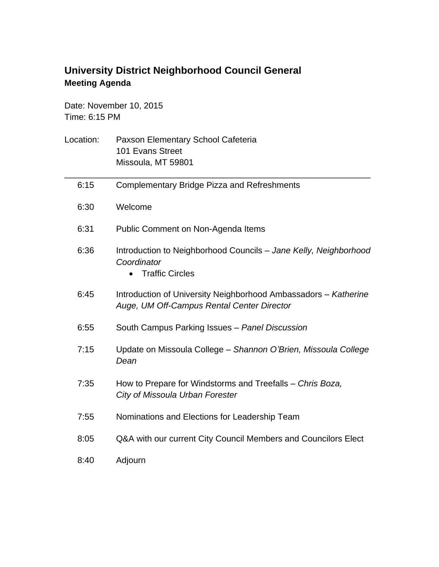## **University District Neighborhood Council General Meeting Agenda**

Date: November 10, 2015 Time: 6:15 PM

| Location: | Paxson Elementary School Cafeteria<br>101 Evans Street<br>Missoula, MT 59801                                  |
|-----------|---------------------------------------------------------------------------------------------------------------|
| 6:15      | <b>Complementary Bridge Pizza and Refreshments</b>                                                            |
| 6:30      | Welcome                                                                                                       |
| 6:31      | Public Comment on Non-Agenda Items                                                                            |
| 6:36      | Introduction to Neighborhood Councils - Jane Kelly, Neighborhood<br>Coordinator<br><b>Traffic Circles</b>     |
| 6:45      | Introduction of University Neighborhood Ambassadors - Katherine<br>Auge, UM Off-Campus Rental Center Director |
| 6:55      | South Campus Parking Issues - Panel Discussion                                                                |
| 7:15      | Update on Missoula College - Shannon O'Brien, Missoula College<br>Dean                                        |
| 7:35      | How to Prepare for Windstorms and Treefalls - Chris Boza,<br>City of Missoula Urban Forester                  |
| 7:55      | Nominations and Elections for Leadership Team                                                                 |
| 8:05      | Q&A with our current City Council Members and Councilors Elect                                                |
| 8:40      | Adjourn                                                                                                       |
|           |                                                                                                               |